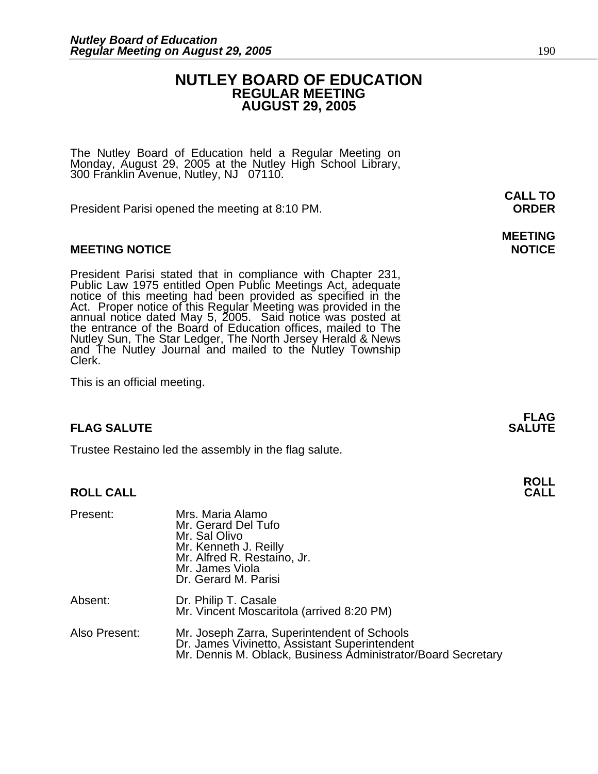### **NUTLEY BOARD OF EDUCATION REGULAR MEETING AUGUST 29, 2005**

The Nutley Board of Education held a Regular Meeting on Monday, August 29, 2005 at the Nutley High School Library, 300 Franklin Avenue, Nutley, NJ 07110.

President Parisi opened the meeting at 8:10 PM. **ORDER**

#### **MEETING NOTICE NOTICE AND RESERVE ASSESS**

President Parisi stated that in compliance with Chapter 231,<br>Public Law 1975 entitled Open Public Meetings Act, adequate<br>notice of this meeting had been provided as specified in the<br>Act. Proper notice of this Regular Meeti annual notice dated May 5, 2005. Said notice was posted at<br>the entrance of the Board of Education offices, mailed to The Nutley Sun, The Star Ledger, The North Jersey Herald & News and The Nutley Journal and mailed to the Nutley Township Clerk.

This is an official meeting.

#### **FLAG SALUTE SALUTE SALUTE**

Trustee Restaino led the assembly in the flag salute.

#### **ROLL CALL**

| Present:      | Mrs. Maria Alamo<br>Mr. Gerard Del Tufo<br>Mr. Sal Olivo<br>Mr. Kenneth J. Reilly<br>Mr. Alfred R. Restaino, Jr.<br>Mr. James Viola<br>Dr. Gerard M. Parisi  |
|---------------|--------------------------------------------------------------------------------------------------------------------------------------------------------------|
| Absent:       | Dr. Philip T. Casale<br>Mr. Vincent Moscaritola (arrived 8:20 PM)                                                                                            |
| Also Present: | Mr. Joseph Zarra, Superintendent of Schools<br>Dr. James Vivinetto, Assistant Superintendent<br>Mr. Dennis M. Oblack, Business Administrator/Board Secretary |

**CALL TO** 

# **MEETING**

**FLAG** 

**ROLL**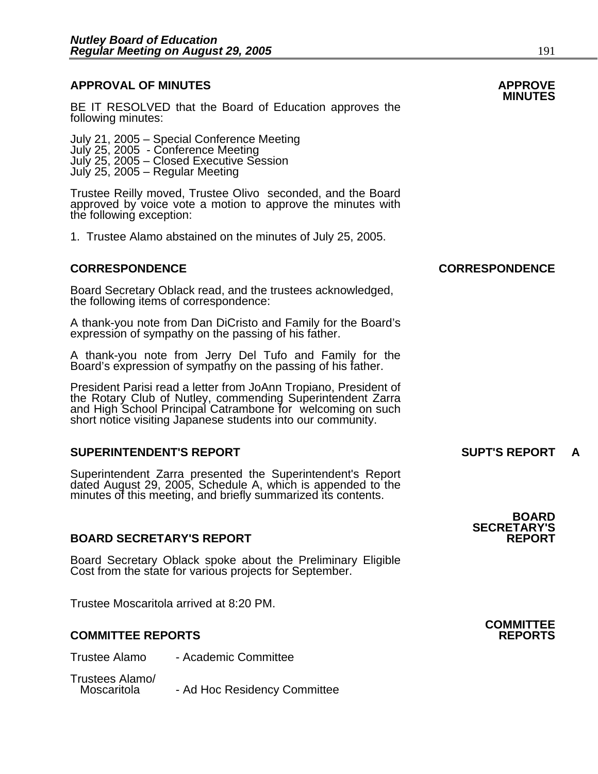## **APPROVAL OF MINUTES APPROVE**

BE IT RESOLVED that the Board of Education approves the following minutes:

 July 21, 2005 – Special Conference Meeting July 25, 2005 - Conference Meeting July 25, 2005 – Closed Executive Session July 25, 2005 – Regular Meeting

> Trustee Reilly moved, Trustee Olivo seconded, and the Board approved by voice vote a motion to approve the minutes with the following exception:

1. Trustee Alamo abstained on the minutes of July 25, 2005.

Board Secretary Oblack read, and the trustees acknowledged, the following items of correspondence:

A thank-you note from Dan DiCristo and Family for the Board's expression of sympathy on the passing of his father.

A thank-you note from Jerry Del Tufo and Family for the Board's expression of sympathy on the passing of his father.

President Parisi read a letter from JoAnn Tropiano, President of the Rotary Club of Nutley, commending Superintendent Zarra and High School Principal Catrambone for welcoming on such short notice visiting Japanese students into our community.

#### **SUPERINTENDENT'S REPORT SUPT'S REPORT A**

Superintendent Zarra presented the Superintendent's Report dated August 29, 2005, Schedule A, which is appended to the minutes of this meeting, and briefly summarized its contents.

#### **BOARD SECRETARY'S REPORT**

Board Secretary Oblack spoke about the Preliminary Eligible Cost from the state for various projects for September.

Trustee Moscaritola arrived at 8:20 PM.

#### **COMMITTEE REPORTS REPORTS**

Trustee Alamo - Academic Committee

Trustees Alamo/ - Ad Hoc Residency Committee

#### **CORRESPONDENCE CORRESPONDENCE**

**SECRETARY'S** 

**BOARD** 

**COMMITTEE**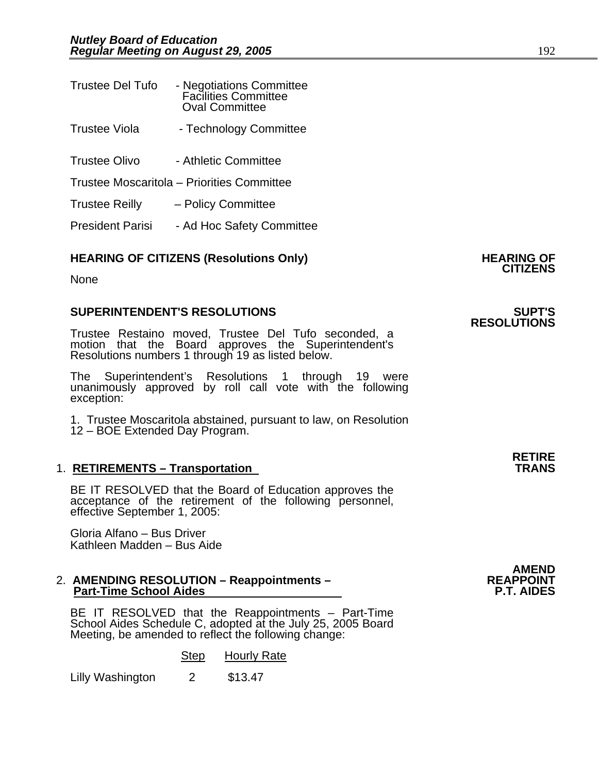| <b>Trustee Del Tufo</b> | - Negotiations Committee<br><b>Facilities Committee</b><br><b>Oval Committee</b> |
|-------------------------|----------------------------------------------------------------------------------|
| <b>Trustee Viola</b>    | - Technology Committee                                                           |
| <b>Trustee Olivo</b>    | - Athletic Committee                                                             |
|                         | Trustee Moscaritola – Priorities Committee                                       |
| Trustee Reilly          | - Policy Committee                                                               |

President Parisi - Ad Hoc Safety Committee

## **HEARING OF CITIZENS (Resolutions Only) HEARING OF CITIZENS**

None

#### **SUPERINTENDENT'S RESOLUTIONS SUPT'S**

Trustee Restaino moved, Trustee Del Tufo seconded, a motion that the Board approves the Superintendent's Resolutions numbers 1 through 19 as listed below.

The Superintendent's Resolutions 1 through 19 were unanimously approved by roll call vote with the following exception:

1. Trustee Moscaritola abstained, pursuant to law, on Resolution 12 – BOE Extended Day Program.

#### 1. **RETIREMENTS – Transportation**

BE IT RESOLVED that the Board of Education approves the acceptance of the retirement of the following personnel, effective September 1, 2005:

Gloria Alfano – Bus Driver Kathleen Madden – Bus Aide

# 2. **AMENDING RESOLUTION – Reappointments – REAPPOINT Part-Time School Aides P.T. AIDES**

BE IT RESOLVED that the Reappointments – Part-Time School Aides Schedule C, adopted at the July 25, 2005 Board<br>Meeting, be amended to reflect the following change:

Step Hourly Rate<br>2 \$13.47

Lilly Washington

**RETIRE**

**AMEND** 

**RESOLUTIONS**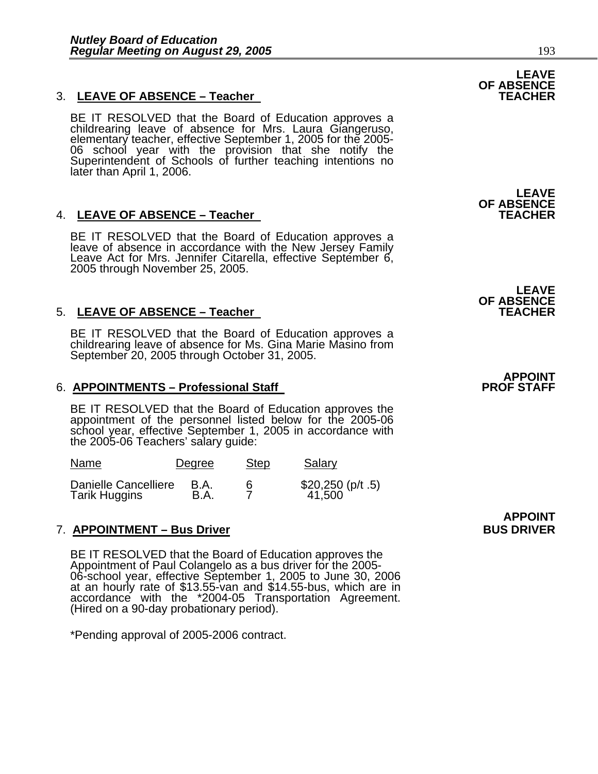#### 3. LEAVE OF ABSENCE - Teacher

BE IT RESOLVED that the Board of Education approves a childrearing leave of absence for Mrs. Laura Giangeruso, elementary teacher, effective September 1, 2005 for the 2005-06 school year with the provision that she notify

#### 4. LEAVE OF ABSENCE - Teacher

BE IT RESOLVED that the Board of Education approves a leave of absence in accordance with the New Jersey Family Leave Act for Mrs. Jennifer Citarella, effective September 6, 2005 through November 25, 2005.

#### 5. LEAVE OF ABSENCE - Teacher

BE IT RESOLVED that the Board of Education approves a childrearing leave of absence for Ms. Gina Marie Masino from September 20, 2005 through October 31, 2005.

#### 6. **APPOINTMENTS – Professional Staff**

BE IT RESOLVED that the Board of Education approves the appointment of the personnel listed below for the 2005-06 school year, effective September 1, 2005 in accordance with the 2005-06 Teachers' salary guide:

| Name                 | Degree | <b>Step</b> | Salary             |
|----------------------|--------|-------------|--------------------|
| Danielle Cancelliere | B.A.   |             | $$20,250$ (p/t .5) |
| <b>Tarik Huggins</b> | B.A.   |             | 41,500             |

### 7. <u>APPOINTMENT – Bus Driver</u> Electronic Control and BUS DRIVER

BE IT RESOLVED that the Board of Education approves the Appointment of Paul Colangelo as a bus driver for the 2005- 06-school year, effective September 1, 2005 to June 30, 2006<br>at an hourly rate of \$13.55-van and \$14.55-bus, which are in accordance with the \*2004-05 Transportation Agreement.<br>(Hired on a 90-day probationary period).

\*Pending approval of 2005-2006 contract.

**LEAVE OF ABSENCE** 

**OF ABSENCE** 

**LEAVE OF ABSENCE** 

# **APPOINT<br>PROF STAFF**

**APPOINT**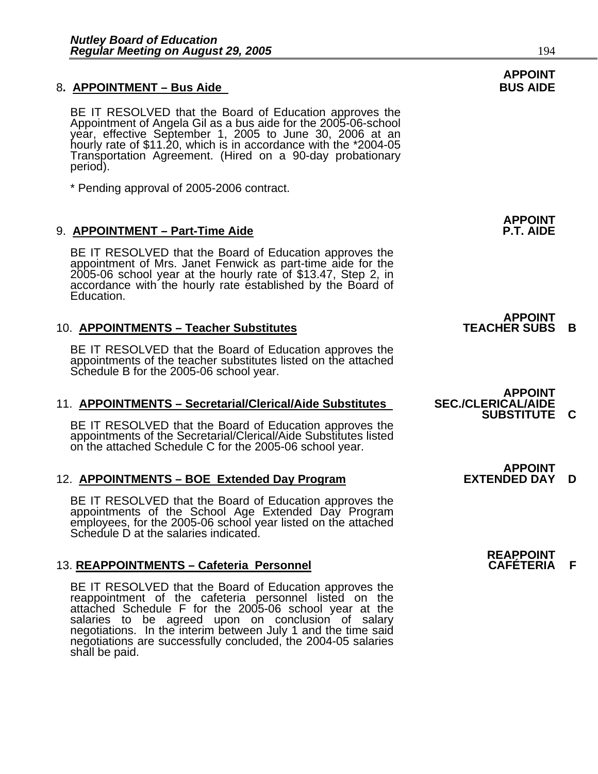#### 8. APPOINTMENT – Bus Aide **Business Contract Contract Contract Contract Contract Contract Contract Contract Contract Contract Contract Contract Contract Contract Contract Contract Contract Contract Contract Contract Contra**

BE IT RESOLVED that the Board of Education approves the<br>Appointment of Angela Gil as a bus aide for the 2005-06-school year, effective September 1, 2005 to June 30, 2006 at an<br>hourly rate of \$11.20, which is in accordance with the \*2004-05 Transportation Agreement. (Hired on a 90-day probationary period).

\* Pending approval of 2005-2006 contract.

#### 9. **APPOINTMENT – Part-Time Aide**

BE IT RESOLVED that the Board of Education approves the appointment of Mrs. Janet Fenwick as part-time aide for the 2005-06 school year at the hourly rate of \$13.47, Step 2, in accordance with the hourly rate established b

#### 10. **APPOINTMENTS – Teacher Substitutes TEACHER SUBS B**

BE IT RESOLVED that the Board of Education approves the appointments of the teacher substitutes listed on the attached Schedule B for the 2005-06 school year.

#### **11. APPOINTMENTS – Secretarial/Clerical/Aide Substitutes**

BE IT RESOLVED that the Board of Education approves the appointments of the Secretarial/Clerical/Aide Substitutes listed on the attached Schedule C for the 2005-06 school year.

#### 12. **APPOINTMENTS – BOE Extended Day Program EXTENDED DAY D**

BE IT RESOLVED that the Board of Education approves the appointments of the School Age Extended Day Program employees, for the 2005-06 school year listed on the attached Schedule D at the salaries indicated.

#### 13. **REAPPOINTMENTS – Cafeteria Personnel CAFÉTERIA F**

BE IT RESOLVED that the Board of Education approves the reappointment of the cafeteria personnel listed on the attached Schedule F for the 2005-06 school year at the salaries to be agreed upon on conclusion of salary negotiations. In the interim between July 1 and the time said negotiations are successfully concluded, the 2004-05 salaries shall be paid.

**APPOINT**

**APPOINT<br>TEACHER SUBS** 

## **APPOINT<br>SEC./CLERICAL/AIDE SUBSTITUTE C**

**APPOINT<br>EXTENDED DAY** 

**REAPPOINT**

# **APPOINT**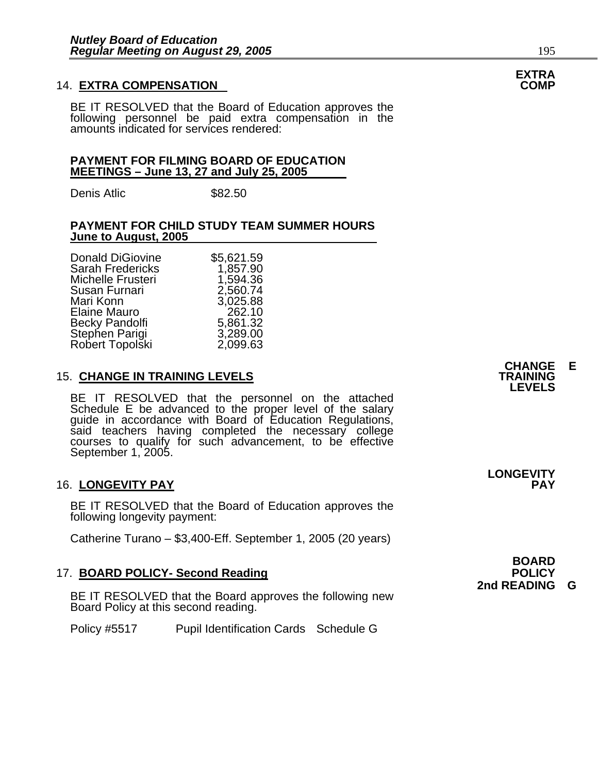#### **14. EXTRA COMPENSATION**

BE IT RESOLVED that the Board of Education approves the following personnel be paid extra compensation in the amounts indicated for services rendered:

#### **PAYMENT FOR FILMING BOARD OF EDUCATION MEETINGS – June 13, 27 and July 25, 2005**

Denis Atlic \$82.50

#### **PAYMENT FOR CHILD STUDY TEAM SUMMER HOURS June to August, 2005**

| \$5,621.59 |
|------------|
| 1,857.90   |
| 1,594.36   |
| 2,560.74   |
| 3,025.88   |
| 262.10     |
| 5,861.32   |
| 3,289.00   |
| 2,099.63   |
|            |

#### **15. CHANGE IN TRAINING LEVELS**

BE IT RESOLVED that the personnel on the attached Schedule E be advanced to the proper level of the salary guide in accordance with Board of Education Regulations, guide in accordance with Board of Education Regulations, said teachers having completed the necessary college courses to qualify for such advancement, to be effective September 1, 2005.

#### 16. LONGEVITY PAY

BE IT RESOLVED that the Board of Education approves the following longevity payment:

Catherine Turano – \$3,400-Eff. September 1, 2005 (20 years)

#### 17. **BOARD POLICY- Second Reading POLICY**

BE IT RESOLVED that the Board approves the following new Board Policy at this second reading.

Policy #5517 Pupil Identification Cards Schedule G

**CHANGE E LEVELS** 

**LONGEVITY** 

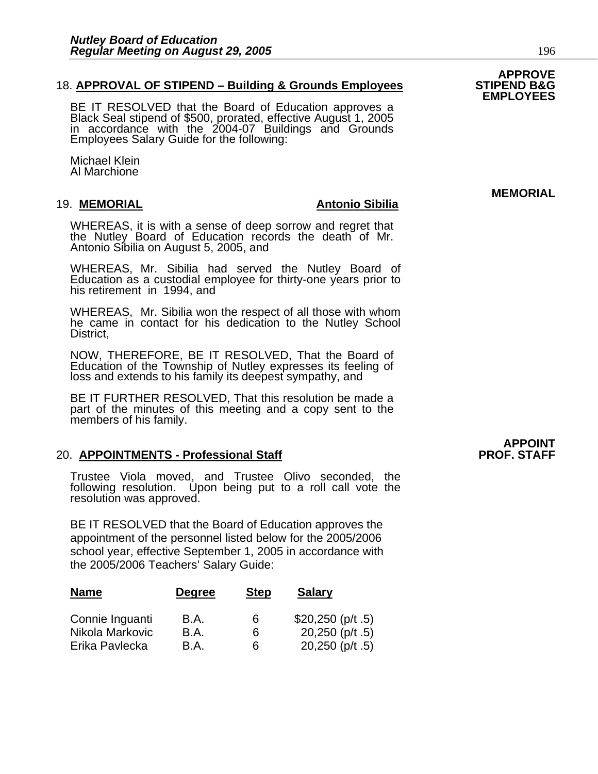#### 18. **APPROVAL OF STIPEND – Building & Grounds Employees**

BE IT RESOLVED that the Board of Education approves a Black Seal stipend of \$500, prorated, effective August 1, 2005 in accordance with the 2004-07 Buildings and Grounds Employees Salary Guide for the following:

Michael Klein Al Marchione

#### 19. **MEMORIAL Antonio Sibilia**

WHEREAS, it is with a sense of deep sorrow and regret that the Nutley Board of Education records the death of Mr. Antonio Sibilia on August 5, 2005, and

WHEREAS, Mr. Sibilia had served the Nutley Board of Education as a custodial employee for thirty-one years prior to his retirement in 1994, and

WHEREAS, Mr. Sibilia won the respect of all those with whom he came in contact for his dedication to the Nutley School District,

NOW, THEREFORE, BE IT RESOLVED, That the Board of Education of the Township of Nutley expresses its feeling of loss and extends to his family its deepest sympathy, and

BE IT FURTHER RESOLVED, That this resolution be made a part of the minutes of this meeting and a copy sent to the members of his family.

#### 20. **APPOINTMENTS - Professional Staff**

Trustee Viola moved, and Trustee Olivo seconded, the following resolution. Upon being put to a roll call vote the resolution was approved.

BE IT RESOLVED that the Board of Education approves the appointment of the personnel listed below for the 2005/2006 school year, effective September 1, 2005 in accordance with the 2005/2006 Teachers' Salary Guide:

| <b>Name</b>     | <b>Degree</b> | <b>Step</b> | <b>Salary</b>      |
|-----------------|---------------|-------------|--------------------|
| Connie Inguanti | B.A.          | 6           | $$20,250$ (p/t .5) |
| Nikola Markovic | B.A.          | 6           | 20,250 ( $p/t$ .5) |
| Erika Pavlecka  | B.A.          | 6           | $20,250$ (p/t .5)  |

# **APPOINT<br>PROF. STAFF**

## **APPROVE EMPLOYEES**

**MEMORIAL**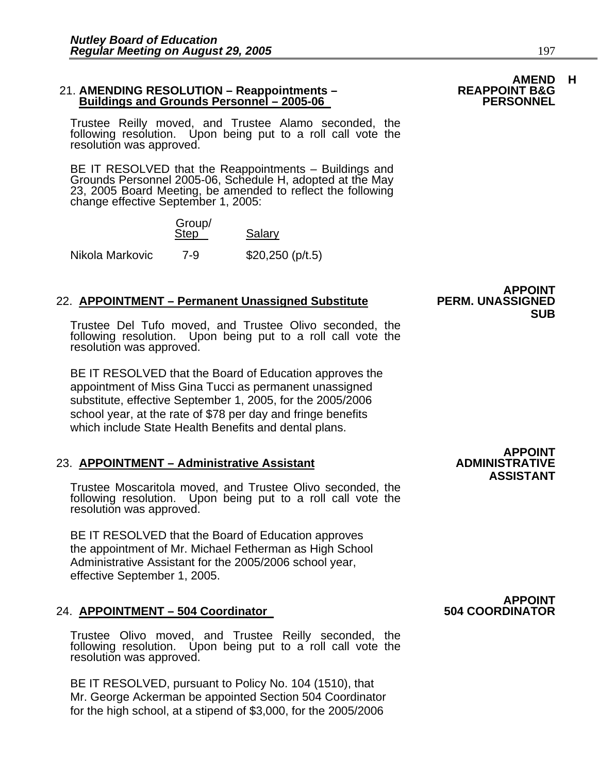#### 21. **AMENDING RESOLUTION – Reappointments – REAPPOINT B&G Buildings and Grounds Personnel – 2005-06**

Trustee Reilly moved, and Trustee Alamo seconded, the following resolution. Upon being put to a roll call vote the resolution was approved.

BE IT RESOLVED that the Reappointments – Buildings and Grounds Personnel 2005-06, Schedule H, adopted at the May 23, 2005 Board Meeting, be amended to reflect the following change effective September 1, 2005:

 Group/ Step Salary

Nikola Markovic 7-9 \$20,250 (p/t.5)

#### **22. APPOINTMENT – Permanent Unassigned Substitute**

Trustee Del Tufo moved, and Trustee Olivo seconded, the following resolution. Upon being put to a roll call vote the resolution was approved.

BE IT RESOLVED that the Board of Education approves the appointment of Miss Gina Tucci as permanent unassigned substitute, effective September 1, 2005, for the 2005/2006 school year, at the rate of \$78 per day and fringe benefits which include State Health Benefits and dental plans.

#### 23. **APPOINTMENT – Administrative Assistant**

Trustee Moscaritola moved, and Trustee Olivo seconded, the following resolution. Upon being put to a roll call vote the resolution was approved.

BE IT RESOLVED that the Board of Education approves the appointment of Mr. Michael Fetherman as High School Administrative Assistant for the 2005/2006 school year, effective September 1, 2005.

#### 24. **APPOINTMENT – 504 Coordinator**

Trustee Olivo moved, and Trustee Reilly seconded, the following resolution. Upon being put to a roll call vote the resolution was approved.

BE IT RESOLVED, pursuant to Policy No. 104 (1510), that Mr. George Ackerman be appointed Section 504 Coordinator for the high school, at a stipend of \$3,000, for the 2005/2006

**APPOINT<br>ADMINISTRATIVE** 

# **AMEND H<br>REAPPOINT B&G**

**APPOINT<br>PERM. UNASSIGNED SUB** 



# **APPOINT<br>504 COORDINATOR**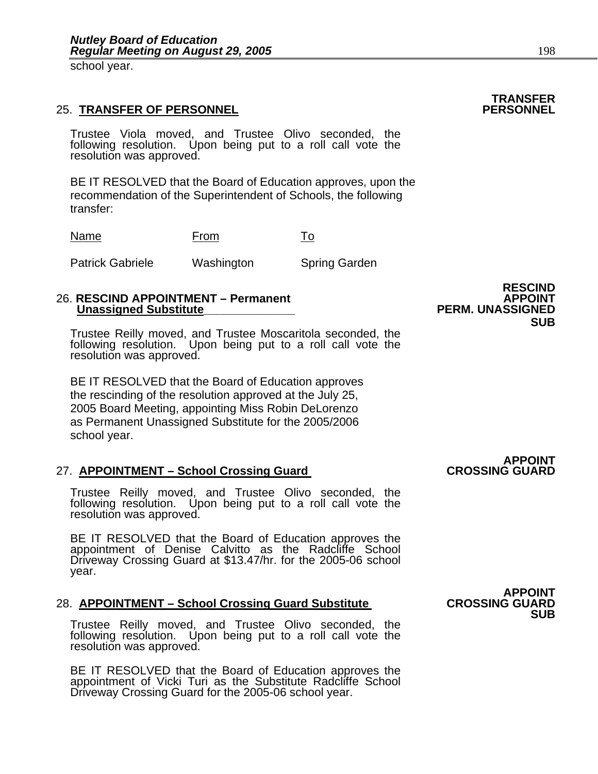school year.

#### **25. TRANSFER OF PERSONNEL**

Trustee Viola moved, and Trustee Olivo seconded, the following resolution. Upon being put to a roll call vote the resolution was approved.

BE IT RESOLVED that the Board of Education approves, upon the recommendation of the Superintendent of Schools, the following transfer:

| Name                    | From       | To                   |
|-------------------------|------------|----------------------|
| <b>Patrick Gabriele</b> | Washington | <b>Spring Garden</b> |

#### 26. **RESCIND APPOINTMENT – Permanent APPOINT Unassigned Substitute**

Trustee Reilly moved, and Trustee Moscaritola seconded, the following resolution. Upon being put to a roll call vote the resolution was approved.

BE IT RESOLVED that the Board of Education approves the rescinding of the resolution approved at the July 25, 2005 Board Meeting, appointing Miss Robin DeLorenzo as Permanent Unassigned Substitute for the 2005/2006 school year.

#### 27. APPOINTMENT – School Crossing Guard

Trustee Reilly moved, and Trustee Olivo seconded, the following resolution. Upon being put to a roll call vote the resolution was approved.

BE IT RESOLVED that the Board of Education approves the appointment of Denise Calvitto as the Radcliffe School Driveway Crossing Guard at \$13.47/hr. for the 2005-06 school year.

#### **28. APPOINTMENT – School Crossing Guard Substitute**

Trustee Reilly moved, and Trustee Olivo seconded, the following resolution. Upon being put to a roll call vote the resolution was approved.

BE IT RESOLVED that the Board of Education approves the appointment of Vicki Turi as the Substitute Radcliffe School Driveway Crossing Guard for the 2005-06 school year.

 **RESCIND SUB** 

## **APPOINT<br>CROSSING GUARD**

**APPOINT<br>CROSSING GUARD SUB** 

**TRANSFER**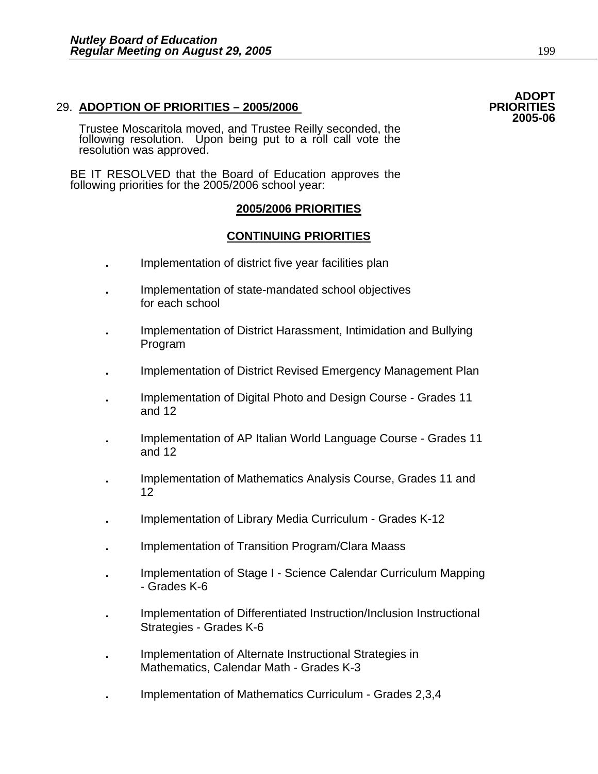#### 29. **ADOPTION OF PRIORITIES – 2005/2006 PRIORITIES**

Trustee Moscaritola moved, and Trustee Reilly seconded, the following resolution. Upon being put to a roll call vote the resolution was approved.

BE IT RESOLVED that the Board of Education approves the following priorities for the 2005/2006 school year:

#### **2005/2006 PRIORITIES**

### **CONTINUING PRIORITIES**

- **.** Implementation of district five year facilities plan
- **.** Implementation of state-mandated school objectives for each school
- **.** Implementation of District Harassment, Intimidation and Bullying Program
- **.** Implementation of District Revised Emergency Management Plan
- **.** Implementation of Digital Photo and Design Course Grades 11 and 12
- **.** Implementation of AP Italian World Language Course Grades 11 and 12
- **.** Implementation of Mathematics Analysis Course, Grades 11 and 12
- **.** Implementation of Library Media Curriculum Grades K-12
- **.** Implementation of Transition Program/Clara Maass
- **.** Implementation of Stage I Science Calendar Curriculum Mapping - Grades K-6
- **.** Implementation of Differentiated Instruction/Inclusion Instructional Strategies - Grades K-6
- **.** Implementation of Alternate Instructional Strategies in Mathematics, Calendar Math - Grades K-3
- **.** Implementation of Mathematics Curriculum Grades 2,3,4

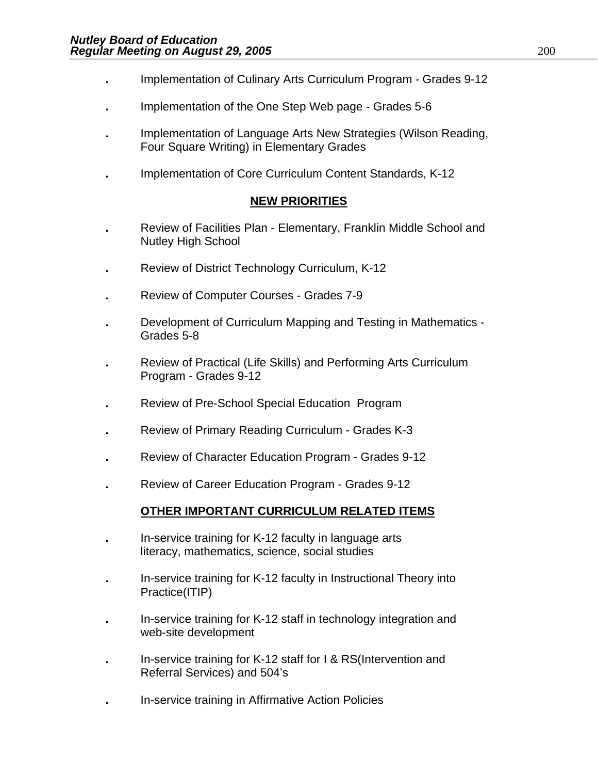- **.** Implementation of Culinary Arts Curriculum Program Grades 9-12
- **.** Implementation of the One Step Web page Grades 5-6
- **.** Implementation of Language Arts New Strategies (Wilson Reading, Four Square Writing) in Elementary Grades
- **.** Implementation of Core Curriculum Content Standards, K-12

### **NEW PRIORITIES**

- **.** Review of Facilities Plan Elementary, Franklin Middle School and Nutley High School
- **.** Review of District Technology Curriculum, K-12
- **.** Review of Computer Courses Grades 7-9
- **.** Development of Curriculum Mapping and Testing in Mathematics Grades 5-8
- **.** Review of Practical (Life Skills) and Performing Arts Curriculum Program - Grades 9-12
- **.** Review of Pre-School Special Education Program
- **.** Review of Primary Reading Curriculum Grades K-3
- **.** Review of Character Education Program Grades 9-12
- Review of Career Education Program Grades 9-12

### **OTHER IMPORTANT CURRICULUM RELATED ITEMS**

- **.** In-service training for K-12 faculty in language arts literacy, mathematics, science, social studies
- **.** In-service training for K-12 faculty in Instructional Theory into Practice(ITIP)
- **.** In-service training for K-12 staff in technology integration and web-site development
- **.** In-service training for K-12 staff for I & RS(Intervention and Referral Services) and 504's
- **.** In-service training in Affirmative Action Policies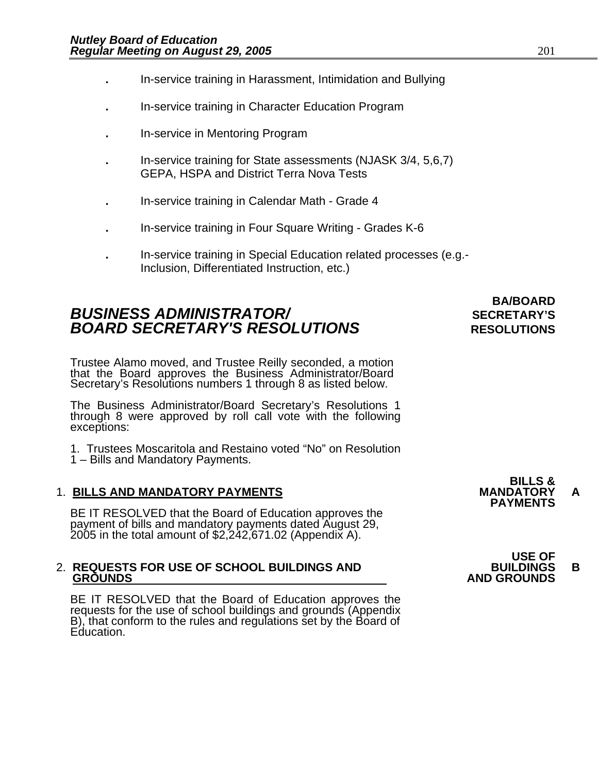- **.** In-service training in Harassment, Intimidation and Bullying
- **.** In-service training in Character Education Program
- **.** In-service in Mentoring Program
- **.** In-service training for State assessments (NJASK 3/4, 5,6,7) GEPA, HSPA and District Terra Nova Tests
- **.** In-service training in Calendar Math Grade 4
- **.** In-service training in Four Square Writing Grades K-6
- **.** In-service training in Special Education related processes (e.g.- Inclusion, Differentiated Instruction, etc.)

## **BUSINESS ADMINISTRATOR/** *BUSINESS ADMINISTRATOR/* **BOARD SECRETARY'S RESOLUTIONS** RESOLUTIONS

# **BA/BOARD**

Trustee Alamo moved, and Trustee Reilly seconded, a motion that the Board approves the Business Administrator/Board Secretary's Resolutions numbers 1 through 8 as listed below.

The Business Administrator/Board Secretary's Resolutions 1 through 8 were approved by roll call vote with the following exceptions:

1. Trustees Moscaritola and Restaino voted "No" on Resolution

1 – Bills and Mandatory Payments.

1. BILLS AND MANDATORY PAYMENTS<br>BE IT RESOLVED that the Board of Education approves the **PAYMENTS** payment of bills and mandatory payments dated August 29, 2005 in the total amount of \$2,242,671.02 (Appendix A).

# 2. **REQUESTS FOR USE OF SCHOOL BUILDINGS AND BUILDINGS B**

BE IT RESOLVED that the Board of Education approves the requests for the use of school buildings and grounds (Appendix B), that conform to the rules and regulations set by the Board of Education.

**BILLS &** 

## **USE OF GROUNDS AND GROUNDS**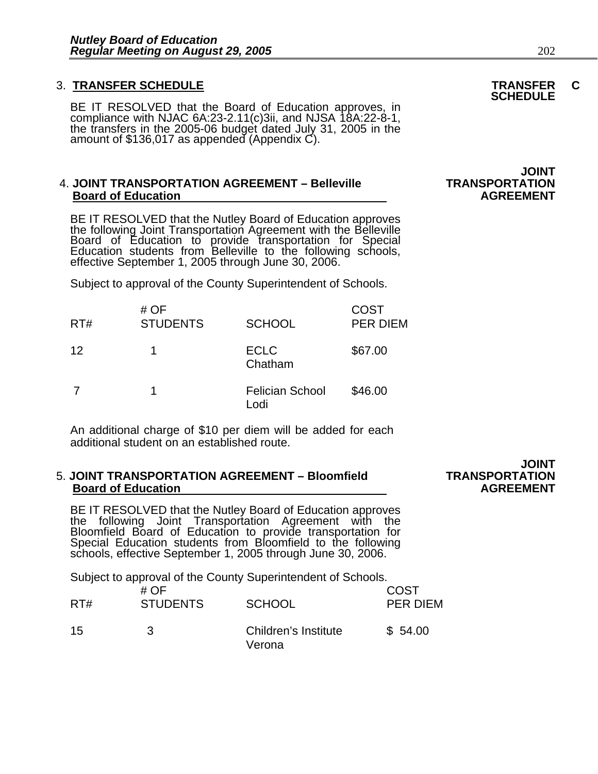## 3. **TRANSFER SCHEDULE TRANSFER C SCHEDULE**

BE IT RESOLVED that the Board of Education approves, in compliance with NJAC 6A:23-2.11(c)3ii, and NJSA 18A:22-8-1, the transfers in the 2005-06 budget dated July 31, 2005 in the amount of \$136,017 as appended (Appendix C).

#### 4. **JOINT TRANSPORTATION AGREEMENT – Belleville TRANSPORTATION Board of Education**

BE IT RESOLVED that the Nutley Board of Education approves the following Joint Transportation Agreement with the Belleville Board of Education to provide transportation for Special Education students from Belleville to the following schools, effective September 1, 2005 through June 30, 2006.

Subject to approval of the County Superintendent of Schools.

| RT# | # OF<br><b>STUDENTS</b> | <b>SCHOOL</b>                  | <b>COST</b><br><b>PER DIEM</b> |
|-----|-------------------------|--------------------------------|--------------------------------|
| 12  |                         | <b>ECLC</b><br>Chatham         | \$67.00                        |
|     |                         | <b>Felician School</b><br>Lodi | \$46.00                        |

An additional charge of \$10 per diem will be added for each additional student on an established route.

#### **5. JOINT TRANSPORTATION AGREEMENT - Bloomfield Board of Education AGREEMENT** AGREEMENT

BE IT RESOLVED that the Nutley Board of Education approves<br>the following Joint Transportation Agreement with the Bloomfield Board of Education to provide transportation for Special Education students from Bloomfield to the following<br>schools, effective September 1, 2005 through June 30, 2006.

Subject to approval of the County Superintendent of Schools.

| RT# | # OF<br><b>STUDENTS</b> | <b>SCHOOL</b>                  | <b>COST</b><br>PER DIEM |
|-----|-------------------------|--------------------------------|-------------------------|
| 15  | 3                       | Children's Institute<br>Verona | \$54.00                 |

# **JOINT<br>TRANSPORTATION**

**JOINT<br>TRANSPORTATION**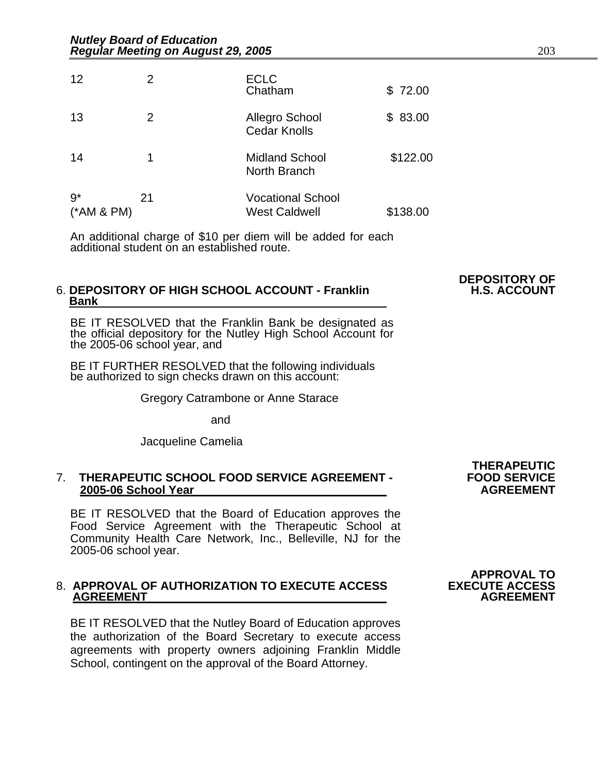| 12                   | 2  | <b>ECLC</b><br>Chatham                           | \$72.00  |
|----------------------|----|--------------------------------------------------|----------|
| 13                   | 2  | <b>Allegro School</b><br><b>Cedar Knolls</b>     | \$83.00  |
| 14                   | 1  | <b>Midland School</b><br>North Branch            | \$122.00 |
| $9*$<br>$(*AM & PM)$ | 21 | <b>Vocational School</b><br><b>West Caldwell</b> | \$138.00 |

An additional charge of \$10 per diem will be added for each additional student on an established route.

#### **6. DEPOSITORY OF HIGH SCHOOL ACCOUNT - Franklin Bank**

BE IT RESOLVED that the Franklin Bank be designated as the official depository for the Nutley High School Account for the 2005-06 school year, and

BE IT FURTHER RESOLVED that the following individuals<br>be authorized to sign checks drawn on this account:

Gregory Catrambone or Anne Starace

and

Jacqueline Camelia

#### 7. **THERAPEUTIC SCHOOL FOOD SERVICE AGREEMENT - FOOD SERVICE 2005-06 School Year**

BE IT RESOLVED that the Board of Education approves the Food Service Agreement with the Therapeutic School at Community Health Care Network, Inc., Belleville, NJ for the 2005-06 school year.

# 8. **APPROVAL OF AUTHORIZATION TO EXECUTE ACCESS EXECUTE ACCESS AGREEMENT AGREEMENT**

BE IT RESOLVED that the Nutley Board of Education approves the authorization of the Board Secretary to execute access agreements with property owners adjoining Franklin Middle School, contingent on the approval of the Board Attorney.

**THERAPEUTIC** 

**DEPOSITORY OF** 

# **APPROVAL TO**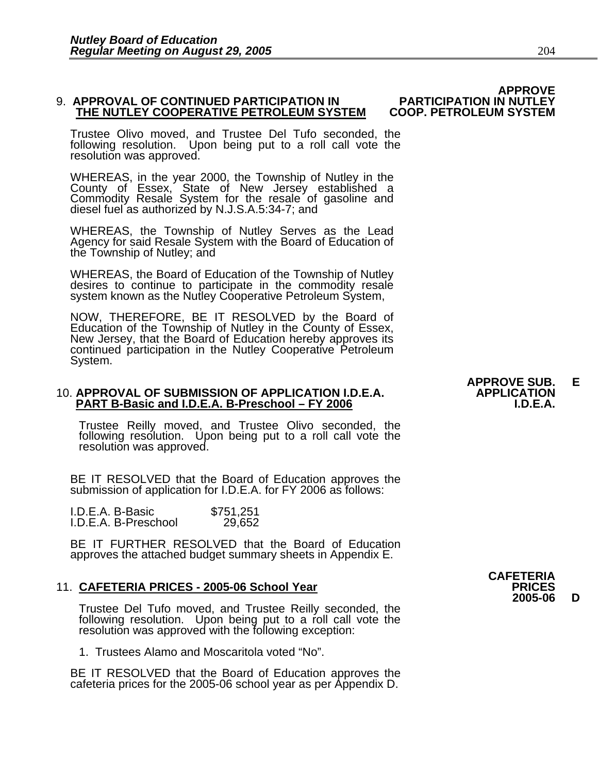# THE NUTLEY COOPERATIVE PETROLEUM SYSTEM COOP. PETROLEUM SYSTEM

Trustee Olivo moved, and Trustee Del Tufo seconded, the following resolution. Upon being put to a roll call vote the resolution was approved.

WHEREAS, in the year 2000, the Township of Nutley in the County of Essex, State of New Jersey established a Commodity Resale System for the resale of gasoline and diesel fuel as authorized by N.J.S.A.5:34-7; and

WHEREAS, the Township of Nutley Serves as the Lead Agency for said Resale System with the Board of Education of the Township of Nutley; and

WHEREAS, the Board of Education of the Township of Nutley desires to continue to participate in the commodity resale system known as the Nutley Cooperative Petroleum System,

NOW, THEREFORE, BE IT RESOLVED by the Board of Education of the Township of Nutley in the County of Essex, New Jersey, that the Board of Education hereby approves its continued participation in the Nutley Cooperative Petro

#### 10. **APPROVAL OF SUBMISSION OF APPLICATION I.D.E.A. APPLICATION PART B-Basic and I.D.E.A. B-Preschool - FY 2006**

Trustee Reilly moved, and Trustee Olivo seconded, the following resolution. Upon being put to a roll call vote the resolution was approved.

BE IT RESOLVED that the Board of Education approves the submission of application for I.D.E.A. for FY 2006 as follows:

| I.D.E.A. B-Basic     | \$751,251 |
|----------------------|-----------|
| I.D.E.A. B-Preschool | 29,652    |

BE IT FURTHER RESOLVED that the Board of Education approves the attached budget summary sheets in Appendix E.

11. **CAFETERIA PRICES - 2005-06 School Year**<br>**11. CAFETERIA PRICES - 2005-06 School Year**<br>Trustee Del Tufo moved, and Trustee Reilly seconded, the Trustee Del Tufo moved, and Trustee Reilly seconded, the following resolution. Upon being put to a roll call vote the resolution was approved with the following exception:

1. Trustees Alamo and Moscaritola voted "No".

BE IT RESOLVED that the Board of Education approves the cafeteria prices for the 2005-06 school year as per Appendix D.

# **APPROVE**

 **APPROVE SUB. E** 

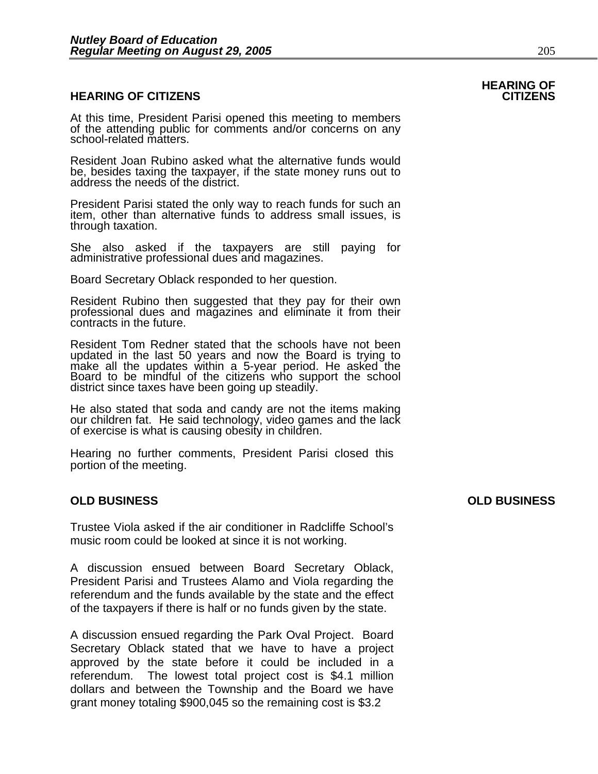#### **HEARING OF CITIZENS CITIZENS**

At this time, President Parisi opened this meeting to members of the attending public for comments and/or concerns on any school-related matters.

Resident Joan Rubino asked what the alternative funds would be, besides taxing the taxpayer, if the state money runs out to address the needs of the district.

President Parisi stated the only way to reach funds for such an item, other than alternative funds to address small issues, is through taxation.

She also asked if the taxpayers are still paying for administrative professional dues and magazines.

Board Secretary Oblack responded to her question.

Resident Rubino then suggested that they pay for their own professional dues and magazines and eliminate it from their contracts in the future.

Resident Tom Redner stated that the schools have not been updated in the last 50 years and now the Board is trying to<br>make all the updates within a 5-year period. He asked the<br>Board to be mindful of the citizens who support the school<br>district since taxes have been going up stead

He also stated that soda and candy are not the items making our children fat. He said technology, video games and the lack of exercise is what is causing obesity in children.

Hearing no further comments, President Parisi closed this portion of the meeting.

#### **OLD BUSINESS OLD BUSINESS**

Trustee Viola asked if the air conditioner in Radcliffe School's music room could be looked at since it is not working.

A discussion ensued between Board Secretary Oblack, President Parisi and Trustees Alamo and Viola regarding the referendum and the funds available by the state and the effect of the taxpayers if there is half or no funds given by the state.

A discussion ensued regarding the Park Oval Project. Board Secretary Oblack stated that we have to have a project approved by the state before it could be included in a referendum. The lowest total project cost is \$4.1 million dollars and between the Township and the Board we have grant money totaling \$900,045 so the remaining cost is \$3.2

# **HEARING OF**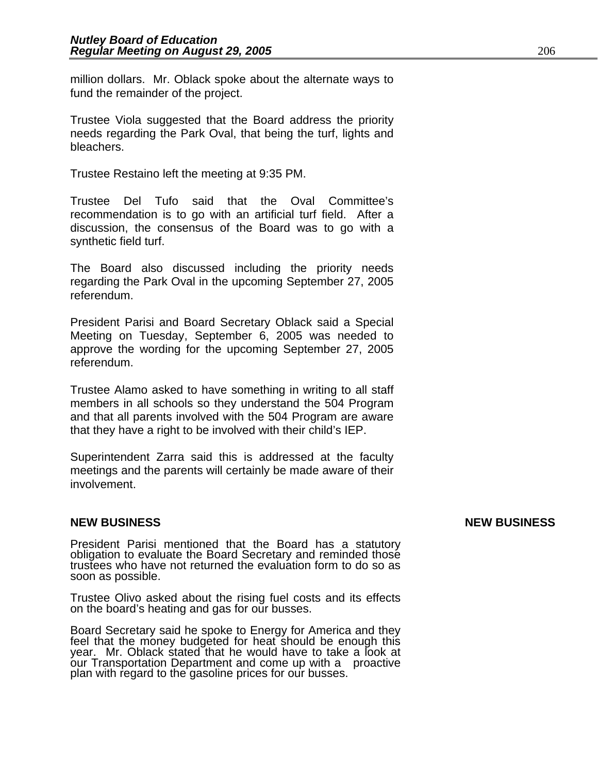million dollars. Mr. Oblack spoke about the alternate ways to fund the remainder of the project.

Trustee Viola suggested that the Board address the priority needs regarding the Park Oval, that being the turf, lights and bleachers.

Trustee Restaino left the meeting at 9:35 PM.

Trustee Del Tufo said that the Oval Committee's recommendation is to go with an artificial turf field. After a discussion, the consensus of the Board was to go with a synthetic field turf.

The Board also discussed including the priority needs regarding the Park Oval in the upcoming September 27, 2005 referendum.

President Parisi and Board Secretary Oblack said a Special Meeting on Tuesday, September 6, 2005 was needed to approve the wording for the upcoming September 27, 2005 referendum.

Trustee Alamo asked to have something in writing to all staff members in all schools so they understand the 504 Program and that all parents involved with the 504 Program are aware that they have a right to be involved with their child's IEP.

Superintendent Zarra said this is addressed at the faculty meetings and the parents will certainly be made aware of their involvement.

President Parisi mentioned that the Board has a statutory obligation to evaluate the Board Secretary and reminded those trustees who have not returned the evaluation form to do so as soon as possible.

Trustee Olivo asked about the rising fuel costs and its effects on the board's heating and gas for our busses.

Board Secretary said he spoke to Energy for America and they feel that the money budgeted for heat should be enough this year. Mr. Oblack stated that he would have to take a look at our Transportation Department and come up with a proactive plan with regard to the gasoline prices for our busses.

#### **NEW BUSINESS NEW BUSINESS**